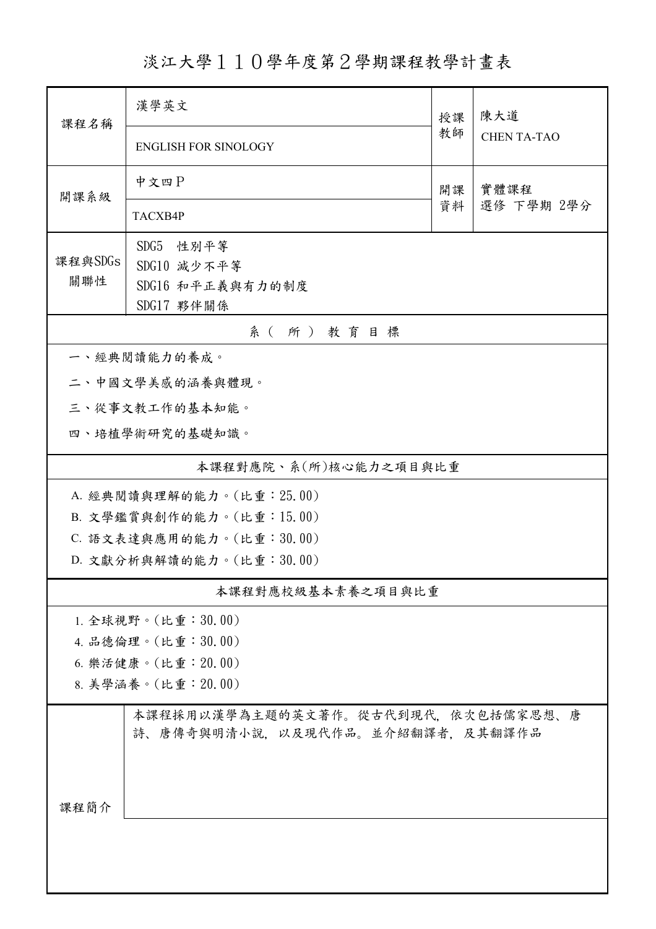淡江大學110學年度第2學期課程教學計畫表

| 課程名稱                      | 漢學英文                                                                  | 授課 | 陳大道<br><b>CHEN TA-TAO</b> |  |  |  |
|---------------------------|-----------------------------------------------------------------------|----|---------------------------|--|--|--|
|                           | <b>ENGLISH FOR SINOLOGY</b>                                           | 教師 |                           |  |  |  |
| 開課系級                      | 中文四P                                                                  | 開課 | 實體課程                      |  |  |  |
|                           | TACXB4P                                                               | 資料 | 選修 下學期 2學分                |  |  |  |
|                           | SDG5 性别平等                                                             |    |                           |  |  |  |
| 課程與SDGs<br>關聯性            | SDG10 減少不平等                                                           |    |                           |  |  |  |
|                           | SDG16 和平正義與有力的制度                                                      |    |                           |  |  |  |
|                           | SDG17 夥伴關係                                                            |    |                           |  |  |  |
| 系(所)教育目標<br>一、經典閱讀能力的養成。  |                                                                       |    |                           |  |  |  |
|                           | 二、中國文學美感的涵養與體現。                                                       |    |                           |  |  |  |
| 三、從事文教工作的基本知能。            |                                                                       |    |                           |  |  |  |
| 四、培植學術研究的基礎知識。            |                                                                       |    |                           |  |  |  |
|                           | 本課程對應院、系(所)核心能力之項目與比重                                                 |    |                           |  |  |  |
| A. 經典閱讀與理解的能力。(比重: 25.00) |                                                                       |    |                           |  |  |  |
| B. 文學鑑賞與創作的能力。(比重:15.00)  |                                                                       |    |                           |  |  |  |
| C. 語文表達與應用的能力。(比重:30.00)  |                                                                       |    |                           |  |  |  |
| D. 文獻分析與解讀的能力。(比重:30.00)  |                                                                       |    |                           |  |  |  |
| 本課程對應校級基本素養之項目與比重         |                                                                       |    |                           |  |  |  |
|                           | 1. 全球視野。(比重:30.00)                                                    |    |                           |  |  |  |
| 4. 品德倫理。(比重:30.00)        |                                                                       |    |                           |  |  |  |
| 6. 樂活健康。(比重:20.00)        |                                                                       |    |                           |  |  |  |
|                           | 8. 美學涵養。(比重: 20.00)                                                   |    |                           |  |  |  |
|                           | 本課程採用以漢學為主題的英文著作。從古代到現代,依次包括儒家思想、唐<br>詩、唐傳奇與明清小說,以及現代作品。並介紹翻譯者,及其翻譯作品 |    |                           |  |  |  |
| 课程简介                      |                                                                       |    |                           |  |  |  |
|                           |                                                                       |    |                           |  |  |  |
|                           |                                                                       |    |                           |  |  |  |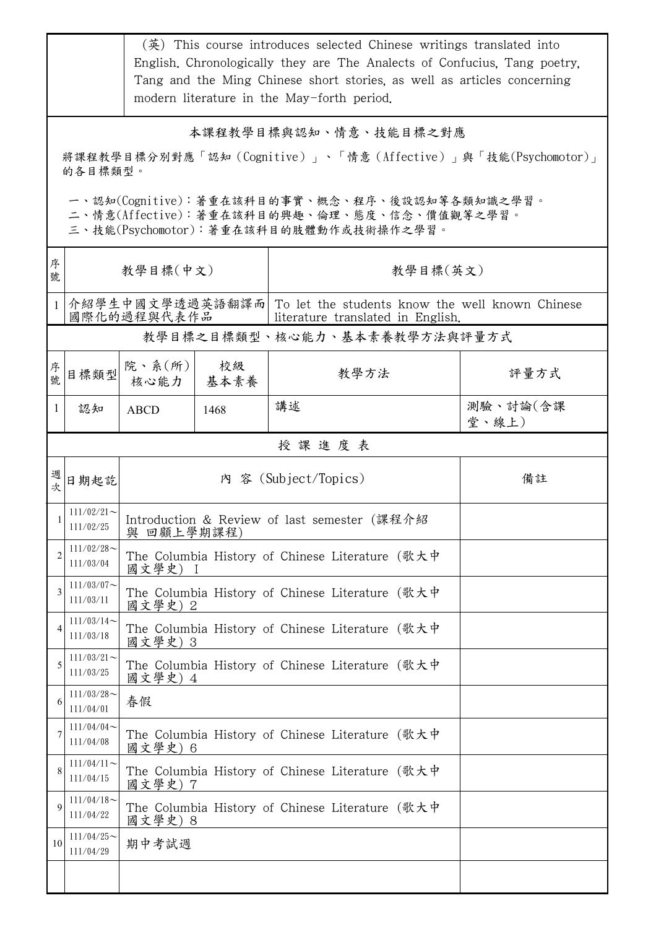|                                                                                                                                        |                            |                                                                                                                     |            | (英) This course introduces selected Chinese writings translated into<br>English. Chronologically they are The Analects of Confucius, Tang poetry,<br>Tang and the Ming Chinese short stories, as well as articles concerning<br>modern literature in the May-forth period. |                   |  |  |
|----------------------------------------------------------------------------------------------------------------------------------------|----------------------------|---------------------------------------------------------------------------------------------------------------------|------------|----------------------------------------------------------------------------------------------------------------------------------------------------------------------------------------------------------------------------------------------------------------------------|-------------------|--|--|
| 本課程教學目標與認知、情意、技能目標之對應<br>將課程教學目標分別對應「認知(Cognitive)」、「情意(Affective)」與「技能(Psychomotor)」<br>的各目標類型。                                       |                            |                                                                                                                     |            |                                                                                                                                                                                                                                                                            |                   |  |  |
| 一、認知(Cognitive):著重在該科目的事實、概念、程序、後設認知等各類知識之學習。<br>二、情意(Affective):著重在該科目的興趣、倫理、態度、信念、價值觀等之學習。<br>三、技能(Psychomotor):著重在該科目的肢體動作或技術操作之學習。 |                            |                                                                                                                     |            |                                                                                                                                                                                                                                                                            |                   |  |  |
| 序<br>號                                                                                                                                 | 教學目標(中文)                   |                                                                                                                     |            | 教學目標(英文)                                                                                                                                                                                                                                                                   |                   |  |  |
|                                                                                                                                        |                            | 介紹學生中國文學透過英語翻譯而 To let the students know the well known Chinese<br>國際化的過程與代表作品<br>literature translated in English. |            |                                                                                                                                                                                                                                                                            |                   |  |  |
|                                                                                                                                        |                            |                                                                                                                     |            | 教學目標之目標類型、核心能力、基本素養教學方法與評量方式                                                                                                                                                                                                                                               |                   |  |  |
| 序<br>號                                                                                                                                 | 目標類型                       | 院、系 $(\kappa)$<br>核心能力                                                                                              | 校級<br>基本素養 | 教學方法                                                                                                                                                                                                                                                                       | 評量方式              |  |  |
| $\mathbf{1}$                                                                                                                           | 認知                         | <b>ABCD</b>                                                                                                         | 1468       | 講述                                                                                                                                                                                                                                                                         | 測驗、討論(含課<br>堂、線上) |  |  |
| 授課進度表                                                                                                                                  |                            |                                                                                                                     |            |                                                                                                                                                                                                                                                                            |                   |  |  |
| 週<br>次                                                                                                                                 | 日期起訖                       |                                                                                                                     |            | 內 容 (Subject/Topics)                                                                                                                                                                                                                                                       | 備註                |  |  |
|                                                                                                                                        | $111/02/21$ ~<br>111/02/25 | Introduction & Review of last semester (課程介紹<br>與 回顧上學期課程)                                                          |            |                                                                                                                                                                                                                                                                            |                   |  |  |
| 2                                                                                                                                      | $111/02/28$ ~<br>111/03/04 | The Columbia History of Chinese Literature (歌大中<br>國文學史)                                                            |            |                                                                                                                                                                                                                                                                            |                   |  |  |
| 3                                                                                                                                      | $111/03/07$ ~<br>111/03/11 | The Columbia History of Chinese Literature (歌大中<br>國文學史) 2                                                          |            |                                                                                                                                                                                                                                                                            |                   |  |  |
| $\overline{4}$                                                                                                                         | $111/03/14$ ~<br>111/03/18 | The Columbia History of Chinese Literature (歌大中<br>國文學史) 3                                                          |            |                                                                                                                                                                                                                                                                            |                   |  |  |
| 5                                                                                                                                      | $111/03/21$ ~<br>111/03/25 | The Columbia History of Chinese Literature (歌大中<br>國文學史) 4                                                          |            |                                                                                                                                                                                                                                                                            |                   |  |  |
| 6                                                                                                                                      | $111/03/28$ ~<br>111/04/01 | 春假                                                                                                                  |            |                                                                                                                                                                                                                                                                            |                   |  |  |
| 7                                                                                                                                      | $111/04/04$ ~<br>111/04/08 | The Columbia History of Chinese Literature (歌大中<br>國文學史) 6                                                          |            |                                                                                                                                                                                                                                                                            |                   |  |  |
| 8                                                                                                                                      | $111/04/11$ ~<br>111/04/15 | The Columbia History of Chinese Literature (歌大中<br>國文學史) 7                                                          |            |                                                                                                                                                                                                                                                                            |                   |  |  |
| $\mathbf Q$                                                                                                                            | $111/04/18$ ~<br>111/04/22 | The Columbia History of Chinese Literature (歌大中<br>國文學史) 8                                                          |            |                                                                                                                                                                                                                                                                            |                   |  |  |
| 10                                                                                                                                     | $111/04/25$ ~<br>111/04/29 | 期中考試週                                                                                                               |            |                                                                                                                                                                                                                                                                            |                   |  |  |
|                                                                                                                                        |                            |                                                                                                                     |            |                                                                                                                                                                                                                                                                            |                   |  |  |